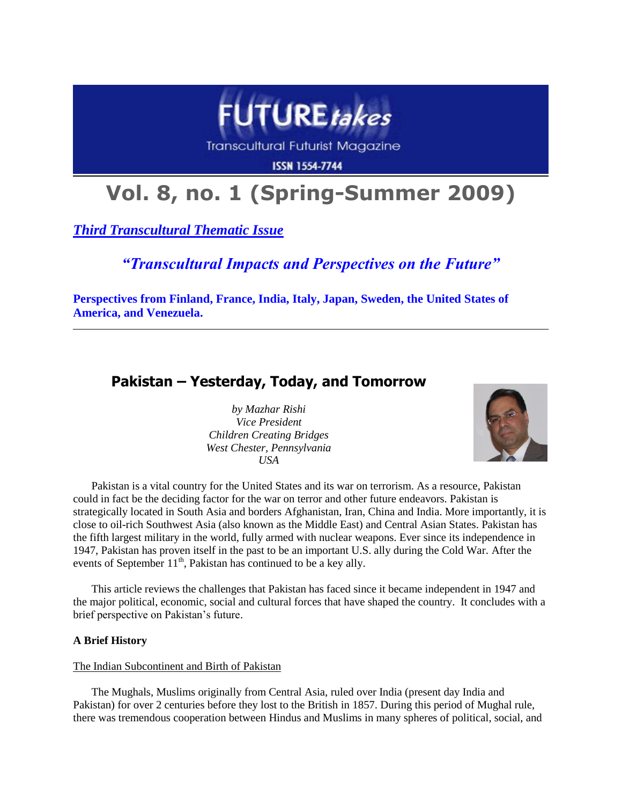

**Transcultural Futurist Magazine** 

**ISSN 1554-7744** 

# **Vol. 8, no. 1 (Spring-Summer 2009)**

*Third Transcultural Thematic Issue*

# *"Transcultural Impacts and Perspectives on the Future"*

**Perspectives from Finland, France, India, Italy, Japan, Sweden, the United States of America, and Venezuela.**

# **Pakistan – Yesterday, Today, and Tomorrow**

*by Mazhar Rishi Vice President Children Creating Bridges West Chester, Pennsylvania USA*



Pakistan is a vital country for the United States and its war on terrorism. As a resource, Pakistan could in fact be the deciding factor for the war on terror and other future endeavors. Pakistan is strategically located in South Asia and borders Afghanistan, Iran, China and India. More importantly, it is close to oil-rich Southwest Asia (also known as the Middle East) and Central Asian States. Pakistan has the fifth largest military in the world, fully armed with nuclear weapons. Ever since its independence in 1947, Pakistan has proven itself in the past to be an important U.S. ally during the Cold War. After the events of September  $11^{th}$ , Pakistan has continued to be a key ally.

This article reviews the challenges that Pakistan has faced since it became independent in 1947 and the major political, economic, social and cultural forces that have shaped the country. It concludes with a brief perspective on Pakistan's future.

## **A Brief History**

#### The Indian Subcontinent and Birth of Pakistan

The Mughals, Muslims originally from Central Asia, ruled over India (present day India and Pakistan) for over 2 centuries before they lost to the British in 1857. During this period of Mughal rule, there was tremendous cooperation between Hindus and Muslims in many spheres of political, social, and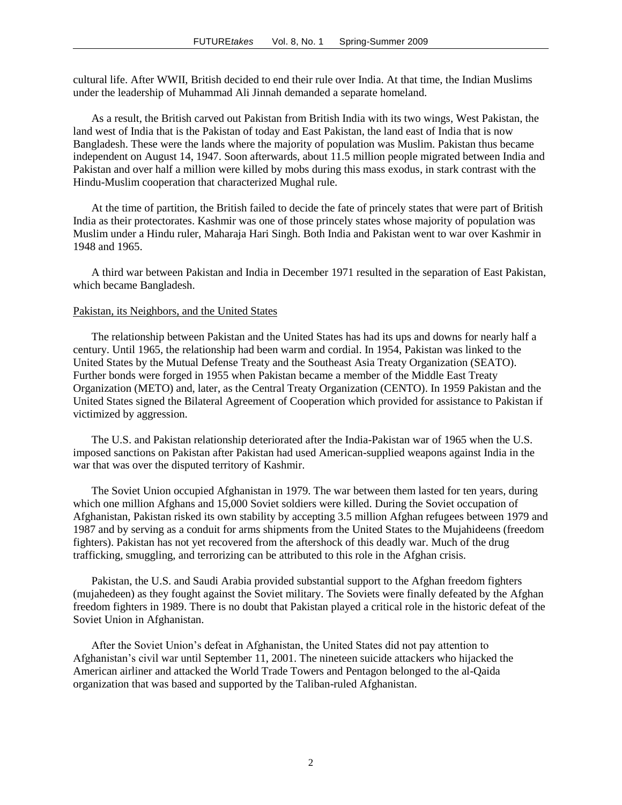cultural life. After WWII, British decided to end their rule over India. At that time, the Indian Muslims under the leadership of Muhammad Ali Jinnah demanded a separate homeland.

As a result, the British carved out Pakistan from British India with its two wings, West Pakistan, the land west of India that is the Pakistan of today and East Pakistan, the land east of India that is now Bangladesh. These were the lands where the majority of population was Muslim. Pakistan thus became independent on August 14, 1947. Soon afterwards, about 11.5 million people migrated between India and Pakistan and over half a million were killed by mobs during this mass exodus, in stark contrast with the Hindu-Muslim cooperation that characterized Mughal rule.

At the time of partition, the British failed to decide the fate of princely states that were part of British India as their protectorates. Kashmir was one of those princely states whose majority of population was Muslim under a Hindu ruler, Maharaja Hari Singh. Both India and Pakistan went to war over Kashmir in 1948 and 1965.

A third war between Pakistan and India in December 1971 resulted in the separation of East Pakistan, which became Bangladesh.

#### Pakistan, its Neighbors, and the United States

The relationship between Pakistan and the United States has had its ups and downs for nearly half a century. Until 1965, the relationship had been warm and cordial. In 1954, Pakistan was linked to the United States by the Mutual Defense Treaty and the Southeast Asia Treaty Organization (SEATO). Further bonds were forged in 1955 when Pakistan became a member of the Middle East Treaty Organization (METO) and, later, as the Central Treaty Organization (CENTO). In 1959 Pakistan and the United States signed the Bilateral Agreement of Cooperation which provided for assistance to Pakistan if victimized by aggression.

The U.S. and Pakistan relationship deteriorated after the India-Pakistan war of 1965 when the U.S. imposed sanctions on Pakistan after Pakistan had used American-supplied weapons against India in the war that was over the disputed territory of Kashmir.

The Soviet Union occupied Afghanistan in 1979. The war between them lasted for ten years, during which one million Afghans and 15,000 Soviet soldiers were killed. During the Soviet occupation of Afghanistan, Pakistan risked its own stability by accepting 3.5 million Afghan refugees between 1979 and 1987 and by serving as a conduit for arms shipments from the United States to the Mujahideens (freedom fighters). Pakistan has not yet recovered from the aftershock of this deadly war. Much of the drug trafficking, smuggling, and terrorizing can be attributed to this role in the Afghan crisis.

Pakistan, the U.S. and Saudi Arabia provided substantial support to the Afghan freedom fighters (mujahedeen) as they fought against the Soviet military. The Soviets were finally defeated by the Afghan freedom fighters in 1989. There is no doubt that Pakistan played a critical role in the historic defeat of the Soviet Union in Afghanistan.

After the Soviet Union"s defeat in Afghanistan, the United States did not pay attention to Afghanistan"s civil war until September 11, 2001. The nineteen suicide attackers who hijacked the American airliner and attacked the World Trade Towers and Pentagon belonged to the al-Qaida organization that was based and supported by the Taliban-ruled Afghanistan.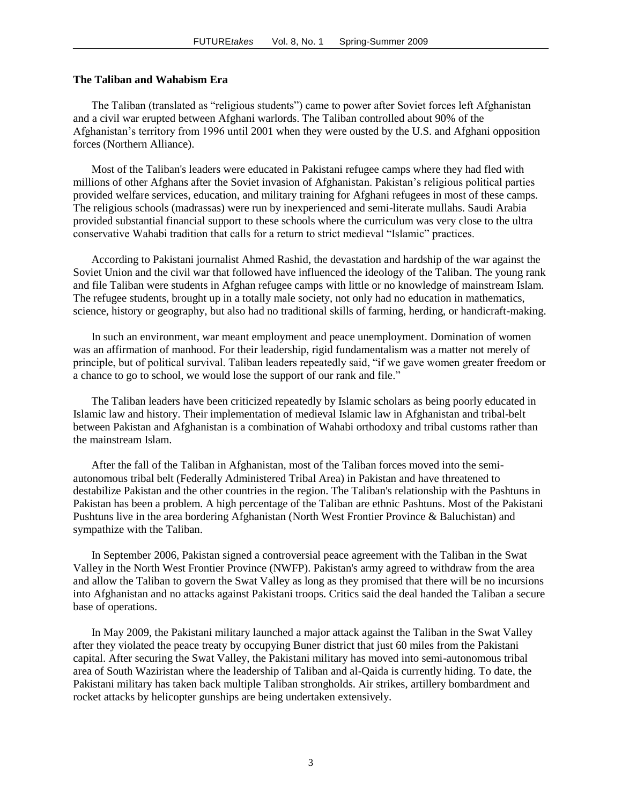#### **The Taliban and Wahabism Era**

The Taliban (translated as "religious students") came to power after Soviet forces left Afghanistan and a civil war erupted between Afghani warlords. The Taliban controlled about 90% of the Afghanistan"s territory from 1996 until 2001 when they were ousted by the U.S. and Afghani opposition forces (Northern Alliance).

Most of the Taliban's leaders were educated in Pakistani refugee camps where they had fled with millions of other Afghans after the Soviet invasion of Afghanistan. Pakistan"s religious political parties provided welfare services, education, and military training for Afghani refugees in most of these camps. The religious schools (madrassas) were run by inexperienced and semi-literate mullahs. Saudi Arabia provided substantial financial support to these schools where the curriculum was very close to the ultra conservative Wahabi tradition that calls for a return to strict medieval "Islamic" practices.

According to Pakistani journalist Ahmed Rashid, the devastation and hardship of the war against the Soviet Union and the civil war that followed have influenced the ideology of the Taliban. The young rank and file Taliban were students in Afghan refugee camps with little or no knowledge of mainstream Islam. The refugee students, brought up in a totally male society, not only had no education in mathematics, science, history or geography, but also had no traditional skills of farming, herding, or handicraft-making.

In such an environment, war meant employment and peace unemployment. Domination of women was an affirmation of manhood. For their leadership, rigid fundamentalism was a matter not merely of principle, but of political survival. Taliban leaders repeatedly said, "if we gave women greater freedom or a chance to go to school, we would lose the support of our rank and file."

The Taliban leaders have been criticized repeatedly by Islamic scholars as being poorly educated in Islamic law and history. Their implementation of medieval Islamic law in Afghanistan and tribal-belt between Pakistan and Afghanistan is a combination of Wahabi orthodoxy and tribal customs rather than the mainstream Islam.

After the fall of the Taliban in Afghanistan, most of the Taliban forces moved into the semiautonomous tribal belt (Federally Administered Tribal Area) in Pakistan and have threatened to destabilize Pakistan and the other countries in the region. The Taliban's relationship with the Pashtuns in Pakistan has been a problem. A high percentage of the Taliban are ethnic Pashtuns. Most of the Pakistani Pushtuns live in the area bordering Afghanistan (North West Frontier Province & Baluchistan) and sympathize with the Taliban.

In September 2006, Pakistan signed a controversial peace agreement with the Taliban in the Swat Valley in the North West Frontier Province (NWFP). Pakistan's army agreed to withdraw from the area and allow the Taliban to govern the Swat Valley as long as they promised that there will be no incursions into Afghanistan and no attacks against Pakistani troops. Critics said the deal handed the Taliban a secure base of operations.

In May 2009, the Pakistani military launched a major attack against the Taliban in the Swat Valley after they violated the peace treaty by occupying Buner district that just 60 miles from the Pakistani capital. After securing the Swat Valley, the Pakistani military has moved into semi-autonomous tribal area of South Waziristan where the leadership of Taliban and al-Qaida is currently hiding. To date, the Pakistani military has taken back multiple Taliban strongholds. Air strikes, artillery bombardment and rocket attacks by helicopter gunships are being undertaken extensively.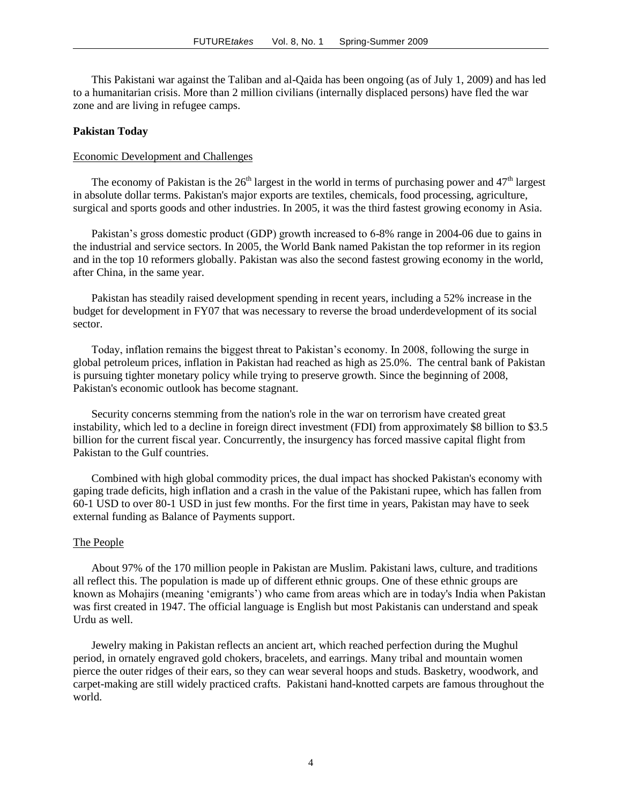This Pakistani war against the Taliban and al-Qaida has been ongoing (as of July 1, 2009) and has led to a humanitarian crisis. More than 2 million civilians (internally displaced persons) have fled the war zone and are living in refugee camps.

#### **Pakistan Today**

### Economic Development and Challenges

The economy of Pakistan is the  $26<sup>th</sup>$  largest in the world in terms of purchasing power and  $47<sup>th</sup>$  largest in absolute dollar terms. Pakistan's major exports are textiles, chemicals, food processing, agriculture, surgical and sports goods and other industries. In 2005, it was the third fastest growing economy in Asia.

Pakistan's gross domestic product (GDP) growth increased to 6-8% range in 2004-06 due to gains in the industrial and service sectors. In 2005, the World Bank named Pakistan the top reformer in its region and in the top 10 reformers globally. Pakistan was also the second fastest growing economy in the world, after China, in the same year.

Pakistan has steadily raised development spending in recent years, including a 52% increase in the budget for development in FY07 that was necessary to reverse the broad underdevelopment of its social sector.

Today, inflation remains the biggest threat to Pakistan"s economy. In 2008, following the surge in global petroleum prices, inflation in Pakistan had reached as high as 25.0%. The central bank of Pakistan is pursuing tighter monetary policy while trying to preserve growth. Since the beginning of 2008, Pakistan's economic outlook has become stagnant.

Security concerns stemming from the nation's role in the war on terrorism have created great instability, which led to a decline in foreign direct investment (FDI) from approximately \$8 billion to \$3.5 billion for the current fiscal year. Concurrently, the insurgency has forced massive capital flight from Pakistan to the Gulf countries.

Combined with high global commodity prices, the dual impact has shocked Pakistan's economy with gaping trade deficits, high inflation and a crash in the value of the Pakistani rupee, which has fallen from 60-1 USD to over 80-1 USD in just few months. For the first time in years, Pakistan may have to seek external funding as Balance of Payments support.

#### The People

About 97% of the 170 million people in Pakistan are Muslim. Pakistani laws, culture, and traditions all reflect this. The population is made up of different ethnic groups. One of these ethnic groups are known as Mohajirs (meaning "emigrants") who came from areas which are in today's India when Pakistan was first created in 1947. The official language is English but most Pakistanis can understand and speak Urdu as well.

Jewelry making in Pakistan reflects an ancient art, which reached perfection during the Mughul period, in ornately engraved gold chokers, bracelets, and earrings. Many tribal and mountain women pierce the outer ridges of their ears, so they can wear several hoops and studs. Basketry, woodwork, and carpet-making are still widely practiced crafts. Pakistani hand-knotted carpets are famous throughout the world.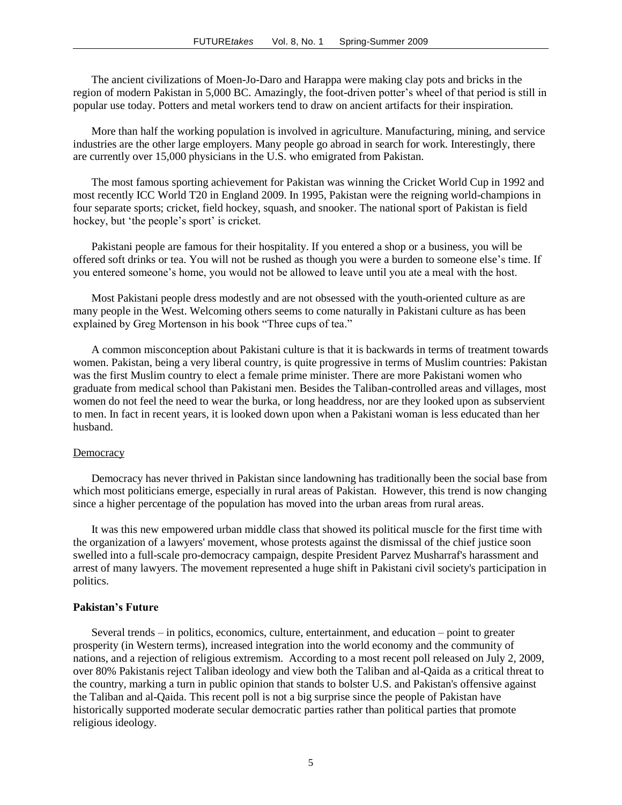The ancient civilizations of Moen-Jo-Daro and Harappa were making clay pots and bricks in the region of modern Pakistan in 5,000 BC. Amazingly, the foot-driven potter's wheel of that period is still in popular use today. Potters and metal workers tend to draw on ancient artifacts for their inspiration.

More than half the working population is involved in agriculture. Manufacturing, mining, and service industries are the other large employers. Many people go abroad in search for work. Interestingly, there are currently over 15,000 physicians in the U.S. who emigrated from Pakistan.

The most famous sporting achievement for Pakistan was winning the Cricket World Cup in 1992 and most recently ICC World T20 in England 2009. In 1995, Pakistan were the reigning world-champions in four separate sports; cricket, field hockey, squash, and snooker. The national sport of Pakistan is field hockey, but 'the people's sport' is cricket.

Pakistani people are famous for their hospitality. If you entered a shop or a business, you will be offered soft drinks or tea. You will not be rushed as though you were a burden to someone else"s time. If you entered someone"s home, you would not be allowed to leave until you ate a meal with the host.

Most Pakistani people dress modestly and are not obsessed with the youth-oriented culture as are many people in the West. Welcoming others seems to come naturally in Pakistani culture as has been explained by Greg Mortenson in his book "Three cups of tea."

A common misconception about Pakistani culture is that it is backwards in terms of treatment towards women. Pakistan, being a very liberal country, is quite progressive in terms of Muslim countries: Pakistan was the first Muslim country to elect a female prime minister. There are more Pakistani women who graduate from medical school than Pakistani men. Besides the Taliban-controlled areas and villages, most women do not feel the need to wear the burka, or long headdress, nor are they looked upon as subservient to men. In fact in recent years, it is looked down upon when a Pakistani woman is less educated than her husband.

#### **Democracy**

Democracy has never thrived in Pakistan since landowning has traditionally been the social base from which most politicians emerge, especially in rural areas of Pakistan. However, this trend is now changing since a higher percentage of the population has moved into the urban areas from rural areas.

It was this new empowered urban middle class that showed its political muscle for the first time with the organization of a lawyers' movement, whose protests against the dismissal of the chief justice soon swelled into a full-scale pro-democracy campaign, despite President Parvez Musharraf's harassment and arrest of many lawyers. The movement represented a huge shift in Pakistani civil society's participation in politics.

#### **Pakistan's Future**

Several trends – in politics, economics, culture, entertainment, and education – point to greater prosperity (in Western terms), increased integration into the world economy and the community of nations, and a rejection of religious extremism. According to a most recent poll released on July 2, 2009, over 80% Pakistanis reject Taliban ideology and view both the Taliban and al-Qaida as a critical threat to the country, marking a turn in public opinion that stands to bolster U.S. and Pakistan's offensive against the Taliban and al-Qaida. This recent poll is not a big surprise since the people of Pakistan have historically supported moderate secular democratic parties rather than political parties that promote religious ideology.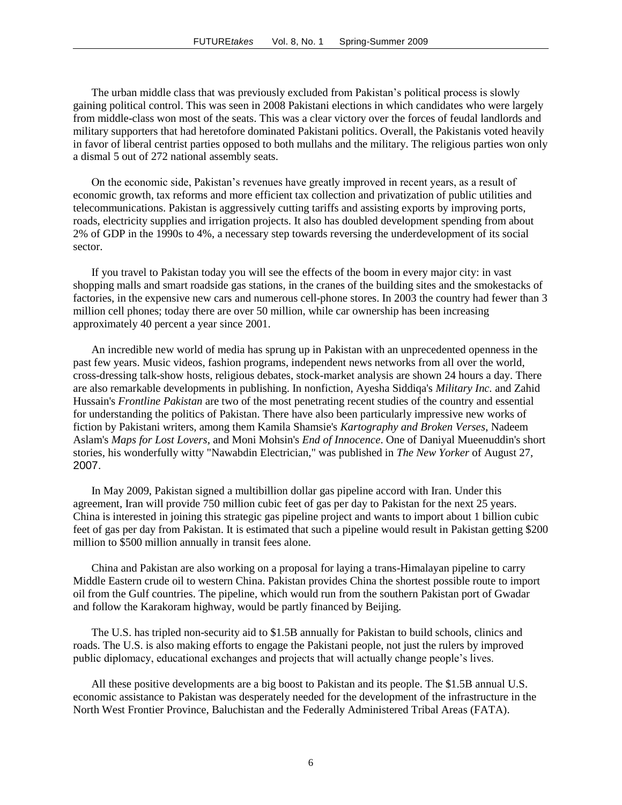The urban middle class that was previously excluded from Pakistan"s political process is slowly gaining political control. This was seen in 2008 Pakistani elections in which candidates who were largely from middle-class won most of the seats. This was a clear victory over the forces of feudal landlords and military supporters that had heretofore dominated Pakistani politics. Overall, the Pakistanis voted heavily in favor of liberal centrist parties opposed to both mullahs and the military. The religious parties won only a dismal 5 out of 272 national assembly seats.

On the economic side, Pakistan"s revenues have greatly improved in recent years, as a result of economic growth, tax reforms and more efficient tax collection and privatization of public utilities and telecommunications. Pakistan is aggressively cutting tariffs and assisting exports by improving ports, roads, electricity supplies and irrigation projects. It also has doubled development spending from about 2% of GDP in the 1990s to 4%, a necessary step towards reversing the underdevelopment of its social sector.

If you travel to Pakistan today you will see the effects of the boom in every major city: in vast shopping malls and smart roadside gas stations, in the cranes of the building sites and the smokestacks of factories, in the expensive new cars and numerous cell-phone stores. In 2003 the country had fewer than 3 million cell phones; today there are over 50 million, while car ownership has been increasing approximately 40 percent a year since 2001.

An incredible new world of media has sprung up in Pakistan with an unprecedented openness in the past few years. Music videos, fashion programs, independent news networks from all over the world, cross-dressing talk-show hosts, religious debates, stock-market analysis are shown 24 hours a day. There are also remarkable developments in publishing. In nonfiction, Ayesha Siddiqa's *Military Inc.* and Zahid Hussain's *Frontline Pakistan* are two of the most penetrating recent studies of the country and essential for understanding the politics of Pakistan. There have also been particularly impressive new works of fiction by Pakistani writers, among them Kamila Shamsie's *Kartography and Broken Verses*, Nadeem Aslam's *Maps for Lost Lovers*, and Moni Mohsin's *End of Innocence*. One of Daniyal Mueenuddin's short stories, his wonderfully witty "Nawabdin Electrician," was published in *The New Yorker* of August 27, 2007.

In May 2009, Pakistan signed a multibillion dollar gas pipeline accord with Iran. Under this agreement, Iran will provide 750 million cubic feet of gas per day to Pakistan for the next 25 years. China is interested in joining this strategic gas pipeline project and wants to import about 1 billion cubic feet of gas per day from Pakistan. It is estimated that such a pipeline would result in Pakistan getting \$200 million to \$500 million annually in transit fees alone.

China and Pakistan are also working on a proposal for laying a trans-Himalayan pipeline to carry Middle Eastern crude oil to western China. Pakistan provides China the shortest possible route to import oil from the Gulf countries. The pipeline, which would run from the southern Pakistan port of Gwadar and follow the Karakoram highway, would be partly financed by Beijing.

The U.S. has tripled non-security aid to \$1.5B annually for Pakistan to build schools, clinics and roads. The U.S. is also making efforts to engage the Pakistani people, not just the rulers by improved public diplomacy, educational exchanges and projects that will actually change people"s lives.

All these positive developments are a big boost to Pakistan and its people. The \$1.5B annual U.S. economic assistance to Pakistan was desperately needed for the development of the infrastructure in the North West Frontier Province, Baluchistan and the Federally Administered Tribal Areas (FATA).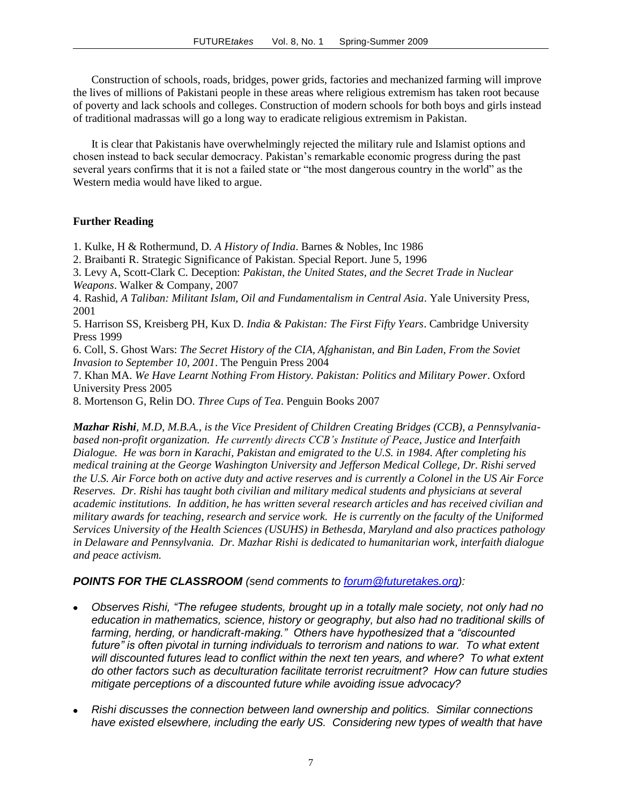Construction of schools, roads, bridges, power grids, factories and mechanized farming will improve the lives of millions of Pakistani people in these areas where religious extremism has taken root because of poverty and lack schools and colleges. Construction of modern schools for both boys and girls instead of traditional madrassas will go a long way to eradicate religious extremism in Pakistan.

It is clear that Pakistanis have overwhelmingly rejected the military rule and Islamist options and chosen instead to back secular democracy. Pakistan"s remarkable economic progress during the past several years confirms that it is not a failed state or "the most dangerous country in the world" as the Western media would have liked to argue.

# **Further Reading**

1. Kulke, H & Rothermund, D. *A History of India*. Barnes & Nobles, Inc 1986

2. Braibanti R. Strategic Significance of Pakistan. Special Report. June 5, 1996

3. Levy A, Scott-Clark C. Deception: *Pakistan, the United States, and the Secret Trade in Nuclear Weapons*. Walker & Company, 2007

4. Rashid, *A Taliban: Militant Islam, Oil and Fundamentalism in Central Asia*. Yale University Press, 2001

5. Harrison SS, Kreisberg PH, Kux D. *India & Pakistan: The First Fifty Years*. Cambridge University Press 1999

6. Coll, S. Ghost Wars: *The Secret History of the CIA, Afghanistan, and Bin Laden, From the Soviet Invasion to September 10, 2001*. The Penguin Press 2004

7. Khan MA. *We Have Learnt Nothing From History. Pakistan: Politics and Military Power*. Oxford University Press 2005

8. Mortenson G, Relin DO. *Three Cups of Tea*. Penguin Books 2007

*Mazhar Rishi, M.D, M.B.A., is the Vice President of Children Creating Bridges (CCB), a Pennsylvaniabased non-profit organization. He currently directs CCB's Institute of Peace, Justice and Interfaith Dialogue. He was born in Karachi, Pakistan and emigrated to the U.S. in 1984. After completing his medical training at the George Washington University and Jefferson Medical College, Dr. Rishi served the U.S. Air Force both on active duty and active reserves and is currently a Colonel in the US Air Force Reserves. Dr. Rishi has taught both civilian and military medical students and physicians at several academic institutions. In addition, he has written several research articles and has received civilian and military awards for teaching, research and service work. He is currently on the faculty of the Uniformed Services University of the Health Sciences (USUHS) in Bethesda, Maryland and also practices pathology in Delaware and Pennsylvania. Dr. Mazhar Rishi is dedicated to humanitarian work, interfaith dialogue and peace activism.*

## *POINTS FOR THE CLASSROOM (send comments to [forum@futuretakes.org\)](mailto:forum@futuretakes.org):*

- *Observes Rishi, "The refugee students, brought up in a totally male society, not only had no education in mathematics, science, history or geography, but also had no traditional skills of farming, herding, or handicraft-making." Others have hypothesized that a "discounted future" is often pivotal in turning individuals to terrorism and nations to war. To what extent will discounted futures lead to conflict within the next ten years, and where? To what extent do other factors such as deculturation facilitate terrorist recruitment? How can future studies mitigate perceptions of a discounted future while avoiding issue advocacy?*
- *Rishi discusses the connection between land ownership and politics. Similar connections have existed elsewhere, including the early US. Considering new types of wealth that have*